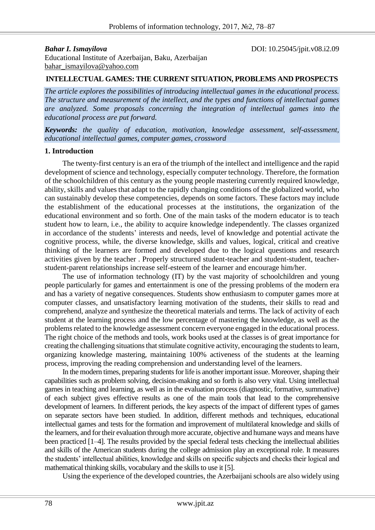**Bahar I. Ismayilova DOI:** 10.25045/jpit.v08.i2.09

Educational Institute of Azerbaijan, Baku, Azerbaijan [bahar\\_ismayilova@yahoo.com](mailto:bahar_ismayilova@yahoo.com)

### **INTELLECTUAL GAMES: THE CURRENT SITUATION, PROBLEMS AND PROSPECTS**

*The article explores the possibilities of introducing intellectual games in the educational process. The structure and measurement of the intellect, and the types and functions of intellectual games are analyzed. Some proposals concerning the integration of intellectual games into the educational process are put forward.*

*Keywords: the quality of education, motivation, knowledge assessment, self-assessment, educational intellectual games, computer games, crossword*

#### **1. Introduction**

The twenty-first century is an era of the triumph of the intellect and intelligence and the rapid development of science and technology, especially computer technology. Therefore, the formation of the schoolchildren of this century as the young people mastering currently required knowledge, ability, skills and values that adapt to the rapidly changing conditions of the globalized world, who can sustainably develop these competencies, depends on some factors. These factors may include the establishment of the educational processes at the institutions, the organization of the educational environment and so forth. One of the main tasks of the modern educator is to teach student how to learn, i.e., the ability to acquire knowledge independently. The classes organized in accordance of the students' interests and needs, level of knowledge and potential activate the cognitive process, while, the diverse knowledge, skills and values, logical, critical and creative thinking of the learners are formed and developed due to the logical questions and research activities given by the teacher . Properly structured student-teacher and student-student, teacherstudent-parent relationships increase self-esteem of the learner and encourage him/her.

The use of information technology (IT) by the vast majority of schoolchildren and young people particularly for games and entertainment is one of the pressing problems of the modern era and has a variety of negative consequences. Students show enthusiasm to computer games more at computer classes, and unsatisfactory learning motivation of the students, their skills to read and comprehend, analyze and synthesize the theoretical materials and terms. The lack of activity of each student at the learning process and the low percentage of mastering the knowledge, as well as the problems related to the knowledge assessment concern everyone engaged in the educational process. The right choice of the methods and tools, work books used at the classes is of great importance for creating the challenging situations that stimulate cognitive activity, encouraging the students to learn, organizing knowledge mastering, maintaining 100% activeness of the students at the learning process, improving the reading comprehension and understanding level of the learners.

In the modern times, preparing students for life is another important issue. Moreover, shaping their capabilities such as problem solving, decision-making and so forth is also very vital. Using intellectual games in teaching and learning, as well as in the evaluation process (diagnostic, formative, summative) of each subject gives effective results as one of the main tools that lead to the comprehensive development of learners. In different periods, the key aspects of the impact of different types of games on separate sectors have been studied. In addition, different methods and techniques, educational intellectual games and tests for the formation and improvement of multilateral knowledge and skills of the learners, and for their evaluation through more accurate, objective and humane ways and means have been practiced [1–4]. The results provided by the special federal tests checking the intellectual abilities and skills of the American students during the college admission play an exceptional role. It measures the students' intellectual abilities, knowledge and skills on specific subjects and checks their logical and mathematical thinking skills, vocabulary and the skills to use it [5].

Using the experience of the developed countries, the Azerbaijani schools are also widely using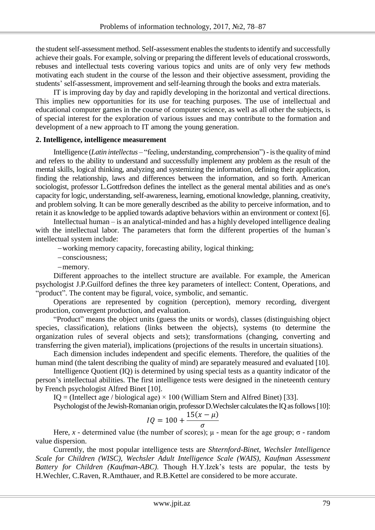the student self-assessment method. Self-assessment enables the students to identify and successfully achieve their goals. For example, solving or preparing the different levels of educational crosswords, rebuses and intellectual tests covering various topics and units are of only very few methods motivating each student in the course of the lesson and their objective assessment, providing the students' self-assessment, improvement and self-learning through the books and extra materials.

IT is improving day by day and rapidly developing in the horizontal and vertical directions. This implies new opportunities for its use for teaching purposes. The use of intellectual and educational computer games in the course of computer science, as well as all other the subjects, is of special interest for the exploration of various issues and may contribute to the formation and development of a new approach to IT among the young generation.

## **2. Intelligence, intelligence measurement**

Intelligence (*Latin intellectus* – "feeling, understanding, comprehension") - is the quality of mind and refers to the ability to understand and successfully implement any problem as the result of the mental skills, logical thinking, analyzing and systemizing the information, defining their application, finding the relationship, laws and differences between the information, and so forth. American sociologist, professor L.Gottfredson defines the intellect as the general mental abilities and as one's capacity for logic, understanding, self-awareness, learning, emotional knowledge, planning, creativity, and problem solving. It can be more generally described as the ability to perceive information, and to retain it as knowledge to be applied towards adaptive behaviors within an environment or context [6].

Intellectual human – is an analytical-minded and has a highly developed intelligence dealing with the intellectual labor. The parameters that form the different properties of the human's intellectual system include:

-working memory capacity, forecasting ability, logical thinking;

consciousness;

-memory.

Different approaches to the intellect structure are available. For example, the American psychologist J.P.Guilford defines the three key parameters of intellect: Content, Operations, and "product". The content may be figural, voice, symbolic, and semantic.

Operations are represented by cognition (perception), memory recording, divergent production, convergent production, and evaluation.

"Product" means the object units (guess the units or words), classes (distinguishing object species, classification), relations (links between the objects), systems (to determine the organization rules of several objects and sets); transformations (changing, converting and transferring the given material), implications (projections of the results in uncertain situations).

Each dimension includes independent and specific elements. Therefore, the qualities of the human mind (the talent describing the quality of mind) are separately measured and evaluated [10].

Intelligence Quotient (IQ) is determined by using special tests as a quantity indicator of the person's intellectual abilities. The first intelligence tests were designed in the nineteenth century by French psychologist Alfred Binet [10].

IQ = (Intellect age / biological age)  $\times$  100 (William Stern and Alfred Binet) [33].

Psychologist of the Jewish-Romanian origin, professor D.Wechsler calculates the IQ as follows [10]:

$$
IQ = 100 + \frac{15(x - \mu)}{\sigma}
$$

Here,  $x$  - determined value (the number of scores);  $\mu$  - mean for the age group;  $\sigma$  - random value dispersion.

Currently, the most popular intelligence tests are *Shternford-Binet, Wechsler Intelligence Scale for Children (WISC), Wechsler Adult Intelligence Scale (WAIS), Kaufman Assessment Battery for Children (Kaufman-ABC)*. Though H.Y.Izek's tests are popular, the tests by H.Wechler, C.Raven, R.Amthauer, and R.B.Kettel are considered to be more accurate.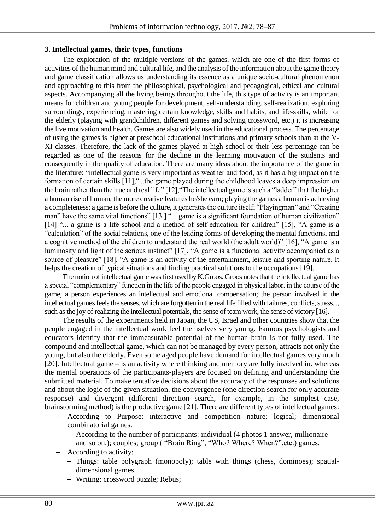## **3. Intellectual games, their types, functions**

The exploration of the multiple versions of the games, which are one of the first forms of activities of the human mind and cultural life, and the analysis of the information about the game theory and game classification allows us understanding its essence as a unique socio-cultural phenomenon and approaching to this from the philosophical, psychological and pedagogical, ethical and cultural aspects. Accompanying all the living beings throughout the life, this type of activity is an important means for children and young people for development, self-understanding, self-realization, exploring surroundings, experiencing, mastering certain knowledge, skills and habits, and life-skills, while for the elderly (playing with grandchildren, different games and solving crossword, etc.) it is increasing the live motivation and health. Games are also widely used in the educational process. The percentage of using the games is higher at preschool educational institutions and primary schools than at the V-XI classes. Therefore, the lack of the games played at high school or their less percentage can be regarded as one of the reasons for the decline in the learning motivation of the students and consequently in the quality of education. There are many ideas about the importance of the game in the literature: "intellectual game is very important as weather and food, as it has a big impact on the formation of certain skills [11],"...the game played during the childhood leaves a deep impression on the brain rather than the true and real life" [12],"The intellectual game is such a "ladder" that the higher a human rise of human, the more creative features he/she earn; playing the games a human is achieving a completeness; a game is before the culture, it generates the culture itself; "Playingman" and "Creating man" have the same vital functions" [13] "... game is a significant foundation of human civilization" [14] "... a game is a life school and a method of self-education for children" [15], "A game is a "calculation" of the social relations, one of the leading forms of developing the mental functions, and a cognitive method of the children to understand the real world (the adult world)" [16], "A game is a luminosity and light of the serious instinct" [17], "A game is a functional activity accompanied as a source of pleasure" [18], "A game is an activity of the entertainment, leisure and sporting nature. It helps the creation of typical situations and finding practical solutions to the occupations [19].

The notion of intellectual game was first used by K.Groos. Groos notes that the intellectual game has a special "complementary" function in the life of the people engaged in physical labor. in the course of the game, a person experiences an intellectual and emotional compensation; the person involved in the intellectual games feels the senses, which are forgotten in the real life filled with failures, conflicts, stress..., such as the joy of realizing the intellectual potentials, the sense of team work, the sense of victory [16].

The results of the experiments held in Japan, the US, Israel and other countries show that the people engaged in the intellectual work feel themselves very young. Famous psychologists and educators identify that the immeasurable potential of the human brain is not fully used. The compound and intellectual game, which can not be managed by every person, attracts not only the young, but also the elderly. Even some aged people have demand for intellectual games very much [20]. Intellectual game – is an activity where thinking and memory are fully involved in. whereas the mental operations of the participants-players are focused on defining and understanding the submitted material. To make tentative decisions about the accuracy of the responses and solutions and about the logic of the given situation, the convergence (one direction search for only accurate response) and divergent (different direction search, for example, in the simplest case, brainstorming method) is the productive game [21]. There are different types of intellectual games:

- According to Purpose: interactive and competition nature; logical; dimensional combinatorial games.
	- According to the number of participants: individual (4 photos 1 answer, millionaire and so on.); couples; group ( "Brain Ring", "Who? Where? When?",etc.) games.
- According to activity:
	- Things: table polygraph (monopoly); table with things (chess, dominoes); spatialdimensional games.
	- Writing: crossword puzzle; Rebus;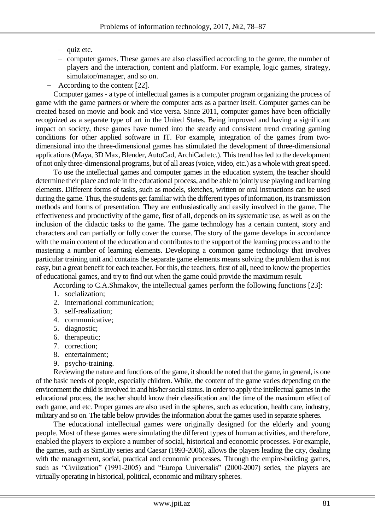- $-$  quiz etc.
- computer games. These games are also classified according to the genre, the number of players and the interaction, content and platform. For example, logic games, strategy, simulator/manager, and so on.
- According to the content [22].

Computer games - a type of intellectual games is a computer program organizing the process of game with the game partners or where the computer acts as a partner itself. Computer games can be created based on movie and book and vice versa. Since 2011, computer games have been officially recognized as a separate type of art in the United States. Being improved and having a significant impact on society, these games have turned into the steady and consistent trend creating gaming conditions for other applied software in IT. For example, integration of the games from twodimensional into the three-dimensional games has stimulated the development of three-dimensional applications (Maya, 3D Max, Blender, AutoCad, ArchiCad etc.). This trend has led to the development of not only three-dimensional programs, but of all areas (voice, video, etc.) as a whole with great speed.

To use the intellectual games and computer games in the education system, the teacher should determine their place and role in the educational process, and be able to jointly use playing and learning elements. Different forms of tasks, such as models, sketches, written or oral instructions can be used during the game. Thus, the students get familiar with the different types of information, its transmission methods and forms of presentation. They are enthusiastically and easily involved in the game. The effectiveness and productivity of the game, first of all, depends on its systematic use, as well as on the inclusion of the didactic tasks to the game. The game technology has a certain content, story and characters and can partially or fully cover the course. The story of the game develops in accordance with the main content of the education and contributes to the support of the learning process and to the mastering a number of learning elements. Developing a common game technology that involves particular training unit and contains the separate game elements means solving the problem that is not easy, but a great benefit for each teacher. For this, the teachers, first of all, need to know the properties of educational games, and try to find out when the game could provide the maximum result.

According to C.A.Shmakov, the intellectual games perform the following functions [23]:

- 1. socialization;
- 2. international communication;
- 3. self-realization;
- 4. communicative;
- 5. diagnostic;
- 6. therapeutic;
- 7. correction;
- 8. entertainment;
- 9. psycho-training.

Reviewing the nature and functions of the game, it should be noted that the game, in general, is one of the basic needs of people, especially children. While, the content of the game varies depending on the environment the child is involved in and his/her social status. In order to apply the intellectual games in the educational process, the teacher should know their classification and the time of the maximum effect of each game, and etc. Proper games are also used in the spheres, such as education, health care, industry, military and so on. The table below provides the information about the games used in separate spheres.

The educational intellectual games were originally designed for the elderly and young people. Most of these games were simulating the different types of human activities, and therefore, enabled the players to explore a number of social, historical and economic processes. For example, the games, such as SimCity series and Caesar (1993-2006), allows the players leading the city, dealing with the management, social, practical and economic processes. Through the empire-building games, such as "Civilization" (1991-2005) and "Europa Universalis" (2000-2007) series, the players are virtually operating in historical, political, economic and military spheres.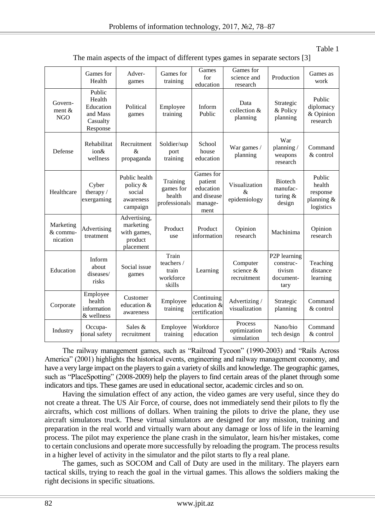| The main aspects of the impact of different types games in separate sectors [3] |  |
|---------------------------------------------------------------------------------|--|
|---------------------------------------------------------------------------------|--|

|                                   | Games for<br>Health                                               | Adver-<br>games                                                  | Games for<br>training                               | Games<br>for<br>education                                           | Games for<br>science and<br>research                         | Production                                                            | Games as<br>work                                        |
|-----------------------------------|-------------------------------------------------------------------|------------------------------------------------------------------|-----------------------------------------------------|---------------------------------------------------------------------|--------------------------------------------------------------|-----------------------------------------------------------------------|---------------------------------------------------------|
| Govern-<br>ment $&$<br>NGO        | Public<br>Health<br>Education<br>and Mass<br>Casualty<br>Response | Political<br>games                                               | Employee<br>training                                | Inform<br>Public                                                    | Data<br>collection &<br>planning                             | Strategic<br>& Policy<br>planning                                     | Public<br>diplomacy<br>& Opinion<br>research            |
| Defense                           | Rehabilitat<br>ion&<br>wellness                                   | Recruitment<br>&<br>propaganda                                   | Soldier/sup<br>port<br>training                     | School<br>house<br>education                                        | War games /<br>planning                                      | War<br>planning/<br>weapons<br>research                               | Command<br>& control                                    |
| Healthcare                        | Cyber<br>therapy /<br>exergaming                                  | Public health<br>policy &<br>social<br>awareness<br>campaign     | Training<br>games for<br>health<br>professionals    | Games for<br>patient<br>education<br>and disease<br>manage-<br>ment | Visualization<br>$\mathcal{R}_{\mathcal{L}}$<br>epidemiology | <b>Biotech</b><br>manufac-<br>turing $&$<br>design                    | Public<br>health<br>response<br>planning &<br>logistics |
| Marketing<br>& commu-<br>nication | Advertising<br>treatment                                          | Advertising,<br>marketing<br>with games,<br>product<br>placement | Product<br>use                                      | Product<br>information                                              | Opinion<br>research                                          | Machinima                                                             | Opinion<br>research                                     |
| Education                         | Inform<br>about<br>diseases/<br>risks                             | Social issue<br>games                                            | Train<br>teachers /<br>train<br>workforce<br>skills | Learning                                                            | Computer<br>science &<br>recruitment                         | P <sub>2</sub> P learning<br>construc-<br>tivism<br>document-<br>tary | Teaching<br>distance<br>learning                        |
| Corporate                         | Employee<br>health<br>information<br>& wellness                   | Customer<br>education &<br>awareness                             | Employee<br>training                                | Continuing<br>education &<br>certification                          | Advertizing /<br>visualization                               | Strategic<br>planning                                                 | Command<br>& control                                    |
| Industry                          | Occupa-<br>tional safety                                          | Sales &<br>recruitment                                           | Employee<br>training                                | Workforce<br>education                                              | Process<br>optimization<br>simulation                        | Nano/bio<br>tech design                                               | Command<br>& control                                    |

The railway management games, such as "Railroad Tycoon" (1990-2003) and "Rails Across America" (2001) highlights the historical events, engineering and railway management economy, and have a very large impact on the players to gain a variety of skills and knowledge. The geographic games, such as "PlaceSpotting" (2008-2009) help the players to find certain areas of the planet through some indicators and tips. These games are used in educational sector, academic circles and so on.

Having the simulation effect of any action, the video games are very useful, since they do not create a threat. The US Air Force, of course, does not immediately send their pilots to fly the aircrafts, which cost millions of dollars. When training the pilots to drive the plane, they use aircraft simulators truck. These virtual simulators are designed for any mission, training and preparation in the real world and virtually warn about any damage or loss of life in the learning process. The pilot may experience the plane crash in the simulator, learn his/her mistakes, come to certain conclusions and operate more successfully by reloading the program. The process results in a higher level of activity in the simulator and the pilot starts to fly a real plane.

The games, such as SOCOM and Call of Duty are used in the military. The players earn tactical skills, trying to reach the goal in the virtual games. This allows the soldiers making the right decisions in specific situations.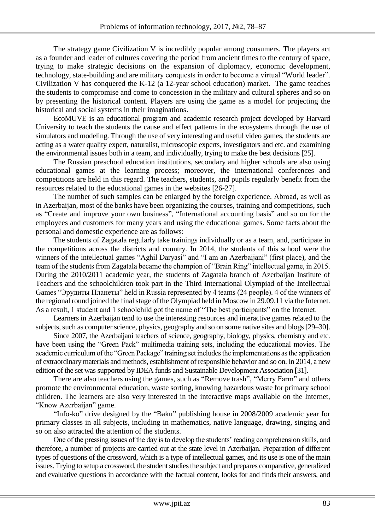The strategy game Civilization V is incredibly popular among consumers. The players act as a founder and leader of cultures covering the period from ancient times to the century of space, trying to make strategic decisions on the expansion of diplomacy, economic development, technology, state-building and are military conquests in order to become a virtual "World leader". Civilization V has conquered the K-12 (a 12-year school education) market. The game teaches the students to compromise and come to concession in the military and cultural spheres and so on by presenting the historical content. Players are using the game as a model for projecting the historical and social systems in their imaginations.

EcoMUVE is an educational program and academic research project developed by Harvard University to teach the students the cause and effect patterns in the ecosystems through the use of simulators and modeling. Through the use of very interesting and useful video games, the students are acting as a water quality expert, naturalist, microscopic experts, investigators and etc. and examining the environmental issues both in a team, and individually, trying to make the best decisions [25].

The Russian preschool education institutions, secondary and higher schools are also using educational games at the learning process; moreover, the international conferences and competitions are held in this regard. The teachers, students, and pupils regularly benefit from the resources related to the educational games in the websites [26-27].

The number of such samples can be enlarged by the foreign experience. Abroad, as well as in Azerbaijan, most of the banks have been organizing the courses, training and competitions, such as "Create and improve your own business", "International accounting basis" and so on for the employees and customers for many years and using the educational games. Some facts about the personal and domestic experience are as follows:

The students of Zagatala regularly take trainings individually or as a team, and, participate in the competitions across the districts and country. In 2014, the students of this school were the winners of the intellectual games "Aghil Daryasi" and "I am an Azerbaijani" (first place), and the team of the students from Zagatala became the champion of "Brain Ring" intellectual game, in 2015. During the 2010/2011 academic year, the students of Zagatala branch of Azerbaijan Institute of Teachers and the schoolchildren took part in the Third International Olympiad of the Intellectual Games "Эрудиты Планеты" held in Russia represented by 4 teams (24 people). 4 of the winners of the regional round joined the final stage of the Olympiad held in Moscow in 29.09.11 via the Internet. As a result, 1 student and 1 schoolchild got the name of "The best participants" on the Internet.

Learners in Azerbaijan tend to use the interesting resources and interactive games related to the subjects, such as computer science, physics, geography and so on some native sites and blogs [29–30].

Since 2007, the Azerbaijani teachers of science, geography, biology, physics, chemistry and etc. have been using the "Green Pack" multimedia training sets, including the educational movies. The academic curriculum of the "Green Package" training set includes the implementations as the application of extraordinary materials and methods, establishment of responsible behavior and so on. In 2014, a new edition of the set was supported by IDEA funds and Sustainable Development Association [31].

There are also teachers using the games, such as "Remove trash", "Merry Farm" and others promote the environmental education, waste sorting, knowing hazardous waste for primary school children. The learners are also very interested in the interactive maps available on the Internet, "Know Azerbaijan" game.

"Info-ko" drive designed by the "Baku" publishing house in 2008/2009 academic year for primary classes in all subjects, including in mathematics, native language, drawing, singing and so on also attracted the attention of the students.

One of the pressing issues of the day is to develop the students' reading comprehension skills, and therefore, a number of projects are carried out at the state level in Azerbaijan. Preparation of different types of questions of the crossword, which is a type of intellectual games, and its use is one of the main issues. Trying to setup a crossword, the student studies the subject and prepares comparative, generalized and evaluative questions in accordance with the factual content, looks for and finds their answers, and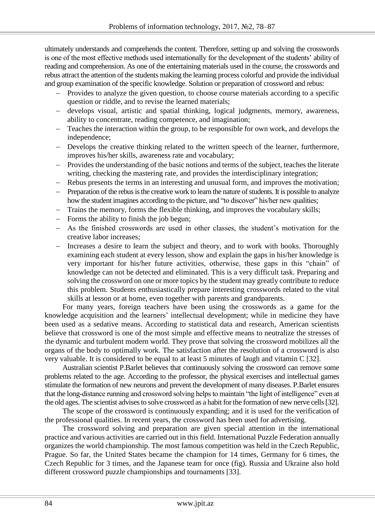ultimately understands and comprehends the content. Therefore, setting up and solving the crosswords is one of the most effective methods used internationally for the development of the students' ability of reading and comprehension. As one of the entertaining materials used in the course, the crosswords and rebus attract the attention of the students making the learning process colorful and provide the individual and group examination of the specific knowledge. Solution or preparation of crossword and rebus:

- Provides to analyze the given question, to choose course materials according to a specific question or riddle, and to revise the learned materials;
- develops visual, artistic and spatial thinking, logical judgments, memory, awareness, ability to concentrate, reading competence, and imagination;
- Teaches the interaction within the group, to be responsible for own work, and develops the independence;
- Develops the creative thinking related to the written speech of the learner, furthermore, improves his/her skills, awareness rate and vocabulary;
- Provides the understanding of the basic notions and terms of the subject, teaches the literate writing, checking the mastering rate, and provides the interdisciplinary integration;
- Rebus presents the terms in an interesting and unusual form, and improves the motivation;
- Preparation of the rebus is the creative work to learn the nature of students. It is possible to analyze how the student imagines according to the picture, and "to discover" his/her new qualities;
- Trains the memory, forms the flexible thinking, and improves the vocabulary skills;
- $-$  Forms the ability to finish the job begun;
- As the finished crosswords are used in other classes, the student's motivation for the creative labor increases;
- Increases a desire to learn the subject and theory, and to work with books. Thoroughly examining each student at every lesson, show and explain the gaps in his/her knowledge is very important for his/her future activities, otherwise, these gaps in this "chain" of knowledge can not be detected and eliminated. This is a very difficult task. Preparing and solving the crossword on one or more topics by the student may greatly contribute to reduce this problem. Students enthusiastically prepare interesting crosswords related to the vital skills at lesson or at home, even together with parents and grandparents.

For many years, foreign teachers have been using the crosswords as a game for the knowledge acquisition and the learners' intellectual development; while in medicine they have been used as a sedative means. According to statistical data and research, American scientists believe that crossword is one of the most simple and effective means to neutralize the stresses of the dynamic and turbulent modern world. They prove that solving the crossword mobilizes all the organs of the body to optimally work. The satisfaction after the resolution of a crossword is also very valuable. It is considered to be equal to at least 5 minutes of laugh and vitamin C [32].

Australian scientist P.Barlet believes that continuously solving the crossword can remove some problems related to the age. According to the professor, the physical exercises and intellectual games stimulate the formation of new neurons and prevent the development of many diseases. P.Barlet ensures that the long-distance running and crossword solving helps to maintain "the light of intelligence" even at the old ages. The scientist advises to solve crossword as a habit for the formation of new nerve cells [32].

The scope of the crossword is continuously expanding; and it is used for the verification of the professional qualities. In recent years, the crossword has been used for advertising.

The crossword solving and preparation are given special attention in the international practice and various activities are carried out in this field. International Puzzle Federation annually organizes the world championship. The most famous competition was held in the Czech Republic, Prague. So far, the United States became the champion for 14 times, Germany for 6 times, the Czech Republic for 3 times, and the Japanese team for once (fig). Russia and Ukraine also hold different crossword puzzle championships and tournaments [33].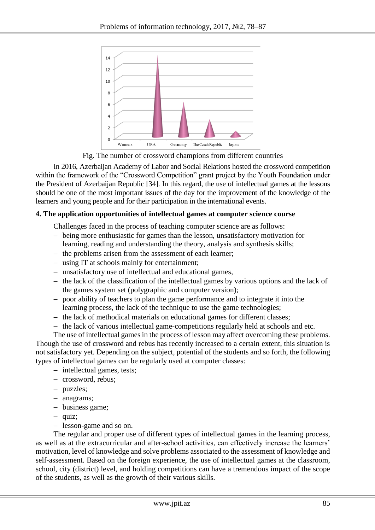

Fig. The number of crossword champions from different countries

In 2016, Azerbaijan Academy of Labor and Social Relations hosted the crossword competition within the framework of the "Crossword Competition" grant project by the Youth Foundation under the President of Azerbaijan Republic [34]. In this regard, the use of intellectual games at the lessons should be one of the most important issues of the day for the improvement of the knowledge of the learners and young people and for their participation in the international events.

## **4. The application opportunities of intellectual games at computer science course**

Challenges faced in the process of teaching computer science are as follows:

- being more enthusiastic for games than the lesson, unsatisfactory motivation for learning, reading and understanding the theory, analysis and synthesis skills;
- the problems arisen from the assessment of each learner;
- using IT at schools mainly for entertainment;
- unsatisfactory use of intellectual and educational games,
- $-$  the lack of the classification of the intellectual games by various options and the lack of the games system set (polygraphic and computer version);
- poor ability of teachers to plan the game performance and to integrate it into the learning process, the lack of the technique to use the game technologies;
- $-$  the lack of methodical materials on educational games for different classes;
- $-$  the lack of various intellectual game-competitions regularly held at schools and etc.

The use of intellectual games in the process of lesson may affect overcoming these problems. Though the use of crossword and rebus has recently increased to a certain extent, this situation is not satisfactory yet. Depending on the subject, potential of the students and so forth, the following types of intellectual games can be regularly used at computer classes:

- intellectual games, tests;
- crossword, rebus;
- puzzles;
- anagrams;
- business game;
- $-$  quiz;
- lesson-game and so on.

The regular and proper use of different types of intellectual games in the learning process, as well as at the extracurricular and after-school activities, can effectively increase the learners' motivation, level of knowledge and solve problems associated to the assessment of knowledge and self-assessment. Based on the foreign experience, the use of intellectual games at the classroom, school, city (district) level, and holding competitions can have a tremendous impact of the scope of the students, as well as the growth of their various skills.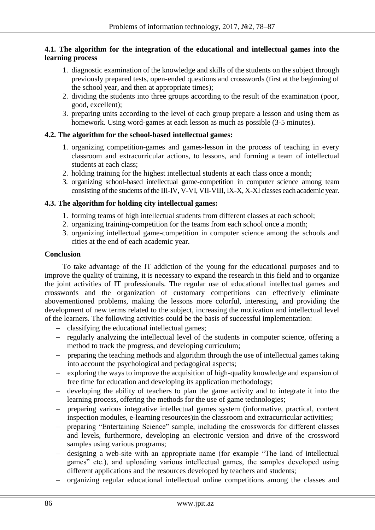# **4.1. The algorithm for the integration of the educational and intellectual games into the learning process**

- 1. diagnostic examination of the knowledge and skills of the students on the subject through previously prepared tests, open-ended questions and crosswords (first at the beginning of the school year, and then at appropriate times);
- 2. dividing the students into three groups according to the result of the examination (poor, good, excellent);
- 3. preparing units according to the level of each group prepare a lesson and using them as homework. Using word-games at each lesson as much as possible (3-5 minutes).

# **4.2. The algorithm for the school-based intellectual games:**

- 1. organizing competition-games and games-lesson in the process of teaching in every classroom and extracurricular actions, to lessons, and forming a team of intellectual students at each class;
- 2. holding training for the highest intellectual students at each class once a month;
- 3. organizing school-based intellectual game-competition in computer science among team consisting of the students of the III-IV, V-VI, VII-VIII, IX-X, X-XI classes each academic year.

## **4.3. The algorithm for holding city intellectual games:**

- 1. forming teams of high intellectual students from different classes at each school;
- 2. organizing training-competition for the teams from each school once a month;
- 3. organizing intellectual game-competition in computer science among the schools and cities at the end of each academic year.

## **Conclusion**

To take advantage of the IT addiction of the young for the educational purposes and to improve the quality of training, it is necessary to expand the research in this field and to organize the joint activities of IT professionals. The regular use of educational intellectual games and crosswords and the organization of customary competitions can effectively eliminate abovementioned problems, making the lessons more colorful, interesting, and providing the development of new terms related to the subject, increasing the motivation and intellectual level of the learners. The following activities could be the basis of successful implementation:

- classifying the educational intellectual games;
- regularly analyzing the intellectual level of the students in computer science, offering a method to track the progress, and developing curriculum;
- preparing the teaching methods and algorithm through the use of intellectual games taking into account the psychological and pedagogical aspects;
- exploring the ways to improve the acquisition of high-quality knowledge and expansion of free time for education and developing its application methodology;
- developing the ability of teachers to plan the game activity and to integrate it into the learning process, offering the methods for the use of game technologies;
- preparing various integrative intellectual games system (informative, practical, content inspection modules, e-learning resources)in the classroom and extracurricular activities;
- preparing "Entertaining Science" sample, including the crosswords for different classes and levels, furthermore, developing an electronic version and drive of the crossword samples using various programs;
- designing a web-site with an appropriate name (for example "The land of intellectual games" etc.), and uploading various intellectual games, the samples developed using different applications and the resources developed by teachers and students;
- organizing regular educational intellectual online competitions among the classes and